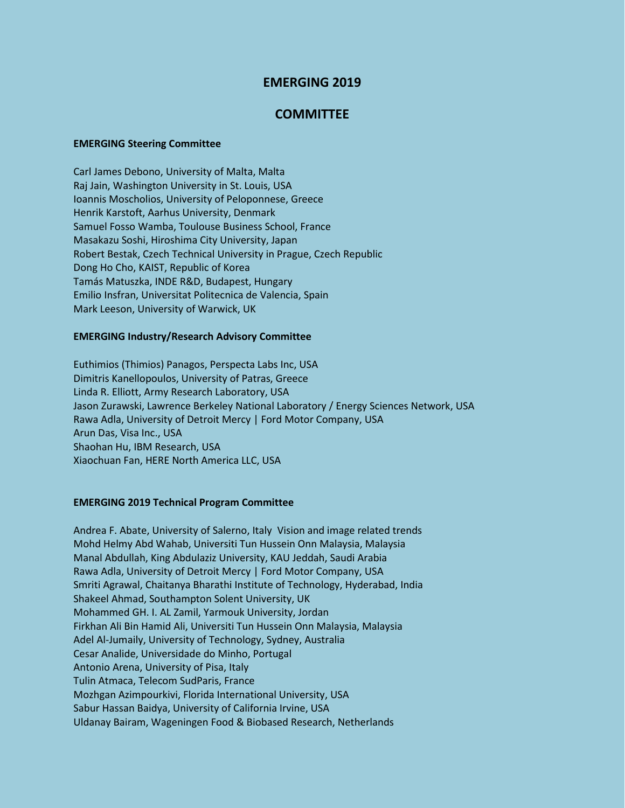# **EMERGING 2019**

## **COMMITTEE**

#### **EMERGING Steering Committee**

Carl James Debono, University of Malta, Malta Raj Jain, Washington University in St. Louis, USA Ioannis Moscholios, University of Peloponnese, Greece Henrik Karstoft, Aarhus University, Denmark Samuel Fosso Wamba, Toulouse Business School, France Masakazu Soshi, Hiroshima City University, Japan Robert Bestak, Czech Technical University in Prague, Czech Republic Dong Ho Cho, KAIST, Republic of Korea Tamás Matuszka, INDE R&D, Budapest, Hungary Emilio Insfran, Universitat Politecnica de Valencia, Spain Mark Leeson, University of Warwick, UK

### **EMERGING Industry/Research Advisory Committee**

Euthimios (Thimios) Panagos, Perspecta Labs Inc, USA Dimitris Kanellopoulos, University of Patras, Greece Linda R. Elliott, Army Research Laboratory, USA Jason Zurawski, Lawrence Berkeley National Laboratory / Energy Sciences Network, USA Rawa Adla, University of Detroit Mercy | Ford Motor Company, USA Arun Das, Visa Inc., USA Shaohan Hu, IBM Research, USA Xiaochuan Fan, HERE North America LLC, USA

#### **EMERGING 2019 Technical Program Committee**

Andrea F. Abate, University of Salerno, Italy Vision and image related trends Mohd Helmy Abd Wahab, Universiti Tun Hussein Onn Malaysia, Malaysia Manal Abdullah, King Abdulaziz University, KAU Jeddah, Saudi Arabia Rawa Adla, University of Detroit Mercy | Ford Motor Company, USA Smriti Agrawal, Chaitanya Bharathi Institute of Technology, Hyderabad, India Shakeel Ahmad, Southampton Solent University, UK Mohammed GH. I. AL Zamil, Yarmouk University, Jordan Firkhan Ali Bin Hamid Ali, Universiti Tun Hussein Onn Malaysia, Malaysia Adel Al-Jumaily, University of Technology, Sydney, Australia Cesar Analide, Universidade do Minho, Portugal Antonio Arena, University of Pisa, Italy Tulin Atmaca, Telecom SudParis, France Mozhgan Azimpourkivi, Florida International University, USA Sabur Hassan Baidya, University of California Irvine, USA Uldanay Bairam, Wageningen Food & Biobased Research, Netherlands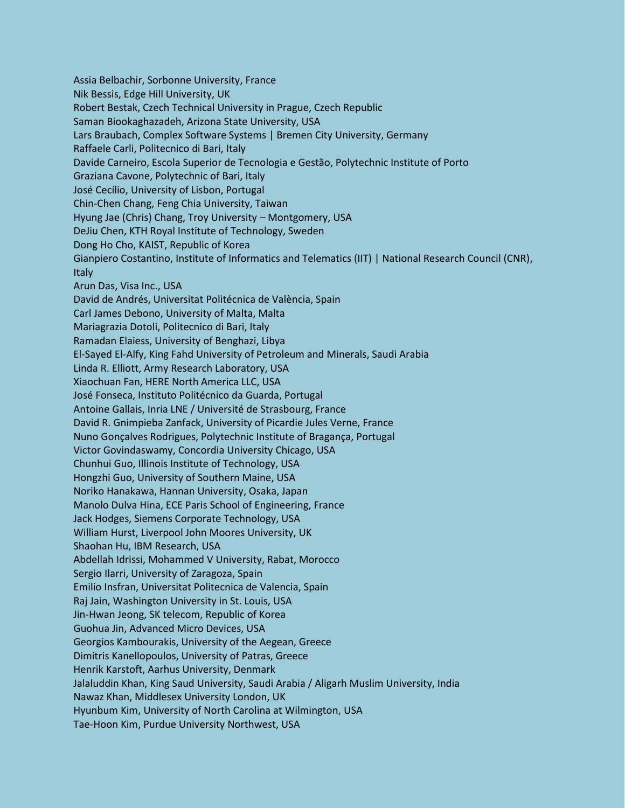Assia Belbachir, Sorbonne University, France Nik Bessis, Edge Hill University, UK Robert Bestak, Czech Technical University in Prague, Czech Republic Saman Biookaghazadeh, Arizona State University, USA Lars Braubach, Complex Software Systems | Bremen City University, Germany Raffaele Carli, Politecnico di Bari, Italy Davide Carneiro, Escola Superior de Tecnologia e Gestão, Polytechnic Institute of Porto Graziana Cavone, Polytechnic of Bari, Italy José Cecílio, University of Lisbon, Portugal Chin-Chen Chang, Feng Chia University, Taiwan Hyung Jae (Chris) Chang, Troy University – Montgomery, USA DeJiu Chen, KTH Royal Institute of Technology, Sweden Dong Ho Cho, KAIST, Republic of Korea Gianpiero Costantino, Institute of Informatics and Telematics (IIT) | National Research Council (CNR), Italy Arun Das, Visa Inc., USA David de Andrés, Universitat Politécnica de València, Spain Carl James Debono, University of Malta, Malta Mariagrazia Dotoli, Politecnico di Bari, Italy Ramadan Elaiess, University of Benghazi, Libya El-Sayed El-Alfy, King Fahd University of Petroleum and Minerals, Saudi Arabia Linda R. Elliott, Army Research Laboratory, USA Xiaochuan Fan, HERE North America LLC, USA José Fonseca, Instituto Politécnico da Guarda, Portugal Antoine Gallais, Inria LNE / Université de Strasbourg, France David R. Gnimpieba Zanfack, University of Picardie Jules Verne, France Nuno Gonçalves Rodrigues, Polytechnic Institute of Bragança, Portugal Victor Govindaswamy, Concordia University Chicago, USA Chunhui Guo, Illinois Institute of Technology, USA Hongzhi Guo, University of Southern Maine, USA Noriko Hanakawa, Hannan University, Osaka, Japan Manolo Dulva Hina, ECE Paris School of Engineering, France Jack Hodges, Siemens Corporate Technology, USA William Hurst, Liverpool John Moores University, UK Shaohan Hu, IBM Research, USA Abdellah Idrissi, Mohammed V University, Rabat, Morocco Sergio Ilarri, University of Zaragoza, Spain Emilio Insfran, Universitat Politecnica de Valencia, Spain Raj Jain, Washington University in St. Louis, USA Jin-Hwan Jeong, SK telecom, Republic of Korea Guohua Jin, Advanced Micro Devices, USA Georgios Kambourakis, University of the Aegean, Greece Dimitris Kanellopoulos, University of Patras, Greece Henrik Karstoft, Aarhus University, Denmark Jalaluddin Khan, King Saud University, Saudi Arabia / Aligarh Muslim University, India Nawaz Khan, Middlesex University London, UK Hyunbum Kim, University of North Carolina at Wilmington, USA Tae-Hoon Kim, Purdue University Northwest, USA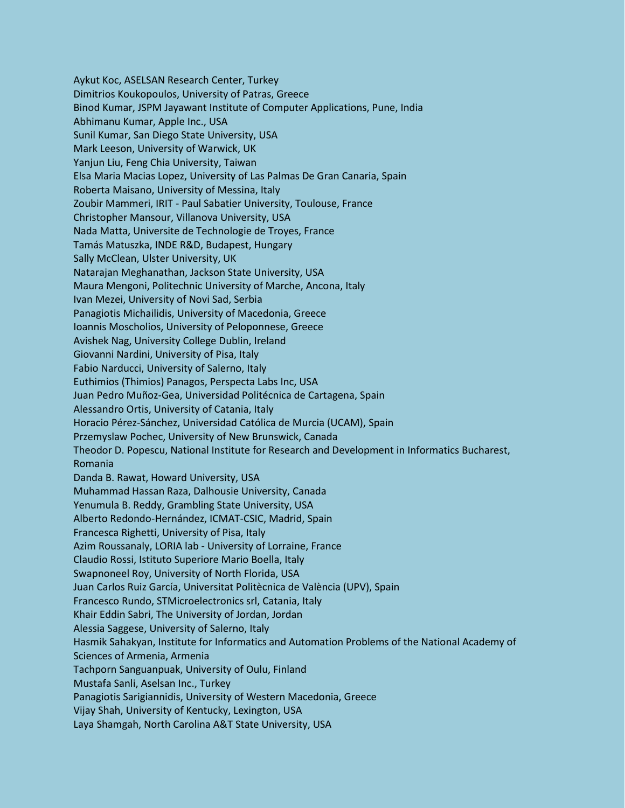Aykut Koc, ASELSAN Research Center, Turkey Dimitrios Koukopoulos, University of Patras, Greece Binod Kumar, JSPM Jayawant Institute of Computer Applications, Pune, India Abhimanu Kumar, Apple Inc., USA Sunil Kumar, San Diego State University, USA Mark Leeson, University of Warwick, UK Yanjun Liu, Feng Chia University, Taiwan Elsa Maria Macias Lopez, University of Las Palmas De Gran Canaria, Spain Roberta Maisano, University of Messina, Italy Zoubir Mammeri, IRIT - Paul Sabatier University, Toulouse, France Christopher Mansour, Villanova University, USA Nada Matta, Universite de Technologie de Troyes, France Tamás Matuszka, INDE R&D, Budapest, Hungary Sally McClean, Ulster University, UK Natarajan Meghanathan, Jackson State University, USA Maura Mengoni, Politechnic University of Marche, Ancona, Italy Ivan Mezei, University of Novi Sad, Serbia Panagiotis Michailidis, University of Macedonia, Greece Ioannis Moscholios, University of Peloponnese, Greece Avishek Nag, University College Dublin, Ireland Giovanni Nardini, University of Pisa, Italy Fabio Narducci, University of Salerno, Italy Euthimios (Thimios) Panagos, Perspecta Labs Inc, USA Juan Pedro Muñoz-Gea, Universidad Politécnica de Cartagena, Spain Alessandro Ortis, University of Catania, Italy Horacio Pérez-Sánchez, Universidad Católica de Murcia (UCAM), Spain Przemyslaw Pochec, University of New Brunswick, Canada Theodor D. Popescu, National Institute for Research and Development in Informatics Bucharest, Romania Danda B. Rawat, Howard University, USA Muhammad Hassan Raza, Dalhousie University, Canada Yenumula B. Reddy, Grambling State University, USA Alberto Redondo-Hernández, ICMAT-CSIC, Madrid, Spain Francesca Righetti, University of Pisa, Italy Azim Roussanaly, LORIA lab - University of Lorraine, France Claudio Rossi, Istituto Superiore Mario Boella, Italy Swapnoneel Roy, University of North Florida, USA Juan Carlos Ruiz García, Universitat Politècnica de València (UPV), Spain Francesco Rundo, STMicroelectronics srl, Catania, Italy Khair Eddin Sabri, The University of Jordan, Jordan Alessia Saggese, University of Salerno, Italy Hasmik Sahakyan, Institute for Informatics and Automation Problems of the National Academy of Sciences of Armenia, Armenia Tachporn Sanguanpuak, University of Oulu, Finland Mustafa Sanli, Aselsan Inc., Turkey Panagiotis Sarigiannidis, University of Western Macedonia, Greece Vijay Shah, University of Kentucky, Lexington, USA Laya Shamgah, North Carolina A&T State University, USA